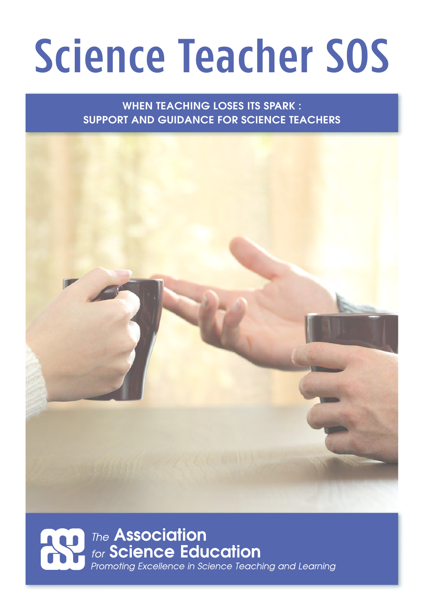# Science Teacher SOS

WHEN TEACHING LOSES ITS SPARK : SUPPORT AND GUIDANCE FOR SCIENCE TEACHERS



## **The Association** for **Science Education**<br>Promoting Excellence in Science Teaching and Learning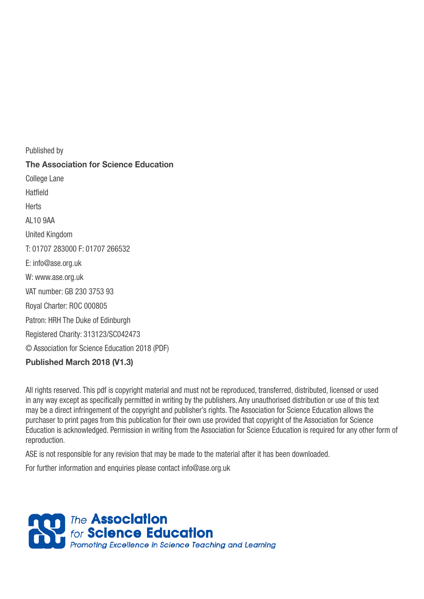Published by **The Association for Science Education** College Lane Hatfield **Herts** AL10 9AA United Kingdom T: 01707 283000 F: 01707 266532 E: [info@ase.org.uk](mailto:info@ase.org.uk)  W: [www.ase.org.uk](http://www.ase.org.uk) VAT number: GB 230 3753 93 Royal Charter: ROC 000805 Patron: HRH The Duke of Edinburgh Registered Charity: 313123/SC042473 © Association for Science Education 2018 (PDF)

**Published March 2018 (V1.3)**

All rights reserved. This pdf is copyright material and must not be reproduced, transferred, distributed, licensed or used in any way except as specifically permitted in writing by the publishers. Any unauthorised distribution or use of this text may be a direct infringement of the copyright and publisher's rights. The Association for Science Education allows the purchaser to print pages from this publication for their own use provided that copyright of the Association for Science Education is acknowledged. Permission in writing from the Association for Science Education is required for any other form of reproduction.

ASE is not responsible for any revision that may be made to the material after it has been downloaded.

For further information and enquiries please contact [info@ase.org.uk](mailto:info@ase.org.uk)

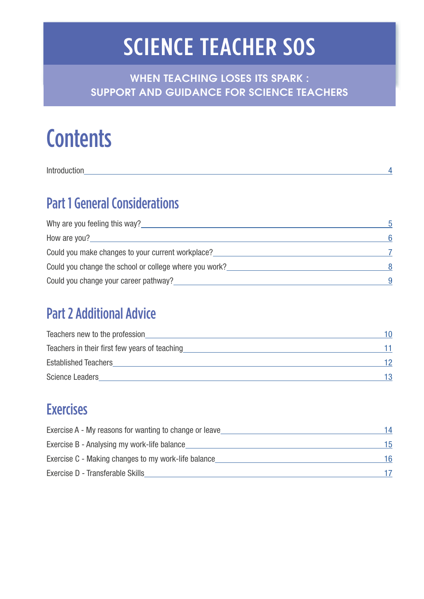## SCIENCE TEACHER SOS

WHEN TEACHING LOSES ITS SPARK : SUPPORT AND GUIDANCE FOR SCIENCE TEACHERS

## **Contents**

[Introduction](#page-3-0) 4

## [Part 1 General Considerations](#page-4-0)

| Why are you feeling this way?                          | 5  |
|--------------------------------------------------------|----|
| How are you?                                           | 6  |
| Could you make changes to your current workplace?      |    |
| Could you change the school or college where you work? | -8 |
| Could you change your career pathway?                  |    |

### [Part 2 Additional Advice](#page-9-0)

| Teachers new to the profession                | 10  |
|-----------------------------------------------|-----|
| Teachers in their first few years of teaching |     |
| <b>Established Teachers</b>                   | 12  |
| <b>Science Leaders</b>                        | 13. |

## [Exercises](#page-13-0)

| Exercise A - My reasons for wanting to change or leave | 14 |
|--------------------------------------------------------|----|
| Exercise B - Analysing my work-life balance            | 15 |
| Exercise C - Making changes to my work-life balance    | 16 |
| Exercise D - Transferable Skills                       |    |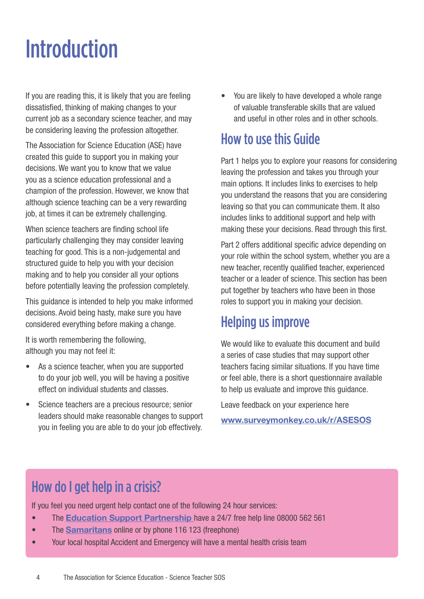## <span id="page-3-0"></span>Introduction

If you are reading this, it is likely that you are feeling dissatisfied, thinking of making changes to your current job as a secondary science teacher, and may be considering leaving the profession altogether.

The Association for Science Education (ASE) have created this guide to support you in making your decisions. We want you to know that we value you as a science education professional and a champion of the profession. However, we know that although science teaching can be a very rewarding job, at times it can be extremely challenging.

When science teachers are finding school life particularly challenging they may consider leaving teaching for good. This is a non-judgemental and structured guide to help you with your decision making and to help you consider all your options before potentially leaving the profession completely.

This guidance is intended to help you make informed decisions. Avoid being hasty, make sure you have considered everything before making a change.

It is worth remembering the following, although you may not feel it:

- As a science teacher, when you are supported to do your job well, you will be having a positive effect on individual students and classes.
- Science teachers are a precious resource; senior leaders should make reasonable changes to support you in feeling you are able to do your job effectively.

• You are likely to have developed a whole range of valuable transferable skills that are valued and useful in other roles and in other schools.

## How to use this Guide

Part 1 helps you to explore your reasons for considering leaving the profession and takes you through your main options. It includes links to exercises to help you understand the reasons that you are considering leaving so that you can communicate them. It also includes links to additional support and help with making these your decisions. Read through this first.

Part 2 offers additional specific advice depending on your role within the school system, whether you are a new teacher, recently qualified teacher, experienced teacher or a leader of science. This section has been put together by teachers who have been in those roles to support you in making your decision.

## Helping us improve

We would like to evaluate this document and build a series of case studies that may support other teachers facing similar situations. If you have time or feel able, there is a short questionnaire available to help us evaluate and improve this guidance.

Leave feedback on your experience here

**www.surveymonkey.co.uk/r/ASESOS**

## How do I get help in a crisis?

If you feel you need urgent help contact one of the following 24 hour services:

- The **[Education Support Partnership](https://www.educationsupportpartnership.org.uk/helping-you/telephone-support-counselling)** have a 24/7 free help line 08000 562 561
- The **[Samaritans](https://www.samaritans.org/)** online or by phone 116 123 (freephone)
- Your local hospital Accident and Emergency will have a mental health crisis team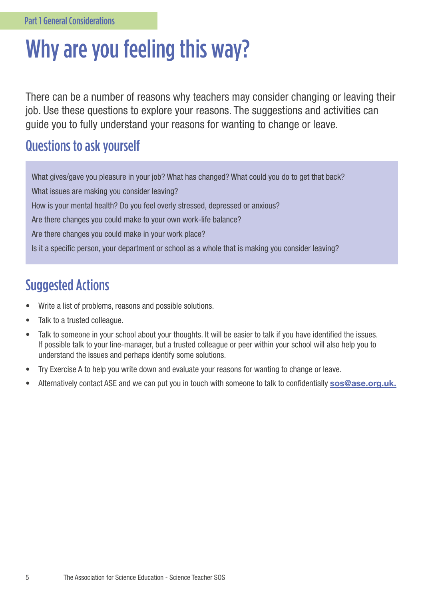## <span id="page-4-0"></span>Why are you feeling this way?

There can be a number of reasons why teachers may consider changing or leaving their job. Use these questions to explore your reasons. The suggestions and activities can guide you to fully understand your reasons for wanting to change or leave.

### Questions to ask yourself

What gives/gave you pleasure in your job? What has changed? What could you do to get that back? What issues are making you consider leaving? How is your mental health? Do you feel overly stressed, depressed or anxious? Are there changes you could make to your own work-life balance? Are there changes you could make in your work place? Is it a specific person, your department or school as a whole that is making you consider leaving?

- Write a list of problems, reasons and possible solutions.
- Talk to a trusted colleague.
- Talk to someone in your school about your thoughts. It will be easier to talk if you have identified the issues. If possible talk to your line-manager, but a trusted colleague or peer within your school will also help you to understand the issues and perhaps identify some solutions.
- Try Exercise A to help you write down and evaluate your reasons for wanting to change or leave.
- Alternatively contact ASE and we can put you in touch with someone to talk to confidentially **sos@ase.org.uk.**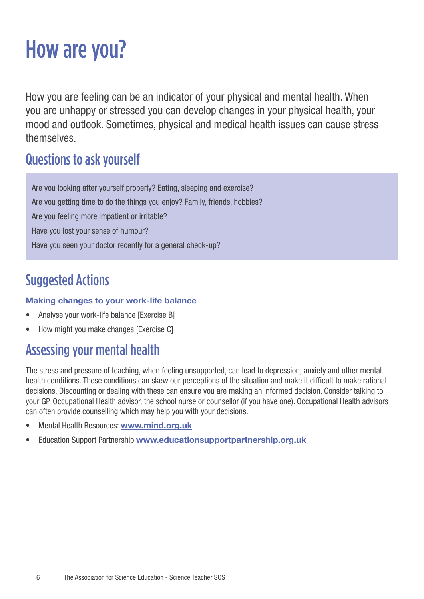## <span id="page-5-0"></span>How are you?

How you are feeling can be an indicator of your physical and mental health. When you are unhappy or stressed you can develop changes in your physical health, your mood and outlook. Sometimes, physical and medical health issues can cause stress themselves.

### Questions to ask yourself

Are you looking after yourself properly? Eating, sleeping and exercise? Are you getting time to do the things you enjoy? Family, friends, hobbies? Are you feeling more impatient or irritable? Have you lost your sense of humour? Have you seen your doctor recently for a general check-up?

## Suggested Actions

#### **Making changes to your work-life balance**

- Analyse your work-life balance [Exercise B]
- How might you make changes [Exercise C]

## Assessing your mental health

The stress and pressure of teaching, when feeling unsupported, can lead to depression, anxiety and other mental health conditions. These conditions can skew our perceptions of the situation and make it difficult to make rational decisions. Discounting or dealing with these can ensure you are making an informed decision. Consider talking to your GP, Occupational Health advisor, the school nurse or counsellor (if you have one). Occupational Health advisors can often provide counselling which may help you with your decisions.

- Mental Health Resources: **[www.mind.org.uk](http://www.mind.org.uk)**
- Education Support Partnership **www.educationsupportpartnership.org.uk**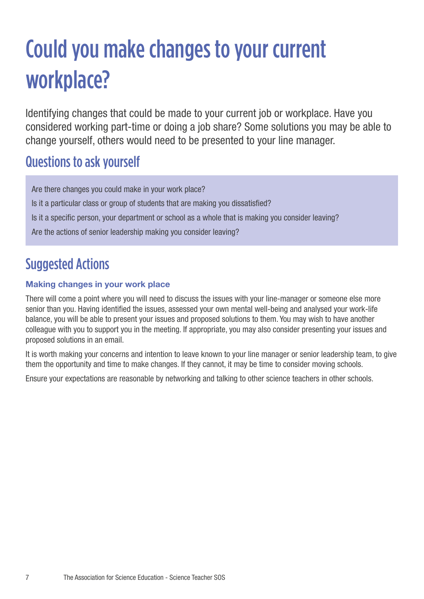## <span id="page-6-0"></span>Could you make changes to your current workplace?

Identifying changes that could be made to your current job or workplace. Have you considered working part-time or doing a job share? Some solutions you may be able to change yourself, others would need to be presented to your line manager.

### Questions to ask yourself

Are there changes you could make in your work place? Is it a particular class or group of students that are making you dissatisfied? Is it a specific person, your department or school as a whole that is making you consider leaving? Are the actions of senior leadership making you consider leaving?

## Suggested Actions

#### **Making changes in your work place**

There will come a point where you will need to discuss the issues with your line-manager or someone else more senior than you. Having identified the issues, assessed your own mental well-being and analysed your work-life balance, you will be able to present your issues and proposed solutions to them. You may wish to have another colleague with you to support you in the meeting. If appropriate, you may also consider presenting your issues and proposed solutions in an email.

It is worth making your concerns and intention to leave known to your line manager or senior leadership team, to give them the opportunity and time to make changes. If they cannot, it may be time to consider moving schools.

Ensure your expectations are reasonable by networking and talking to other science teachers in other schools.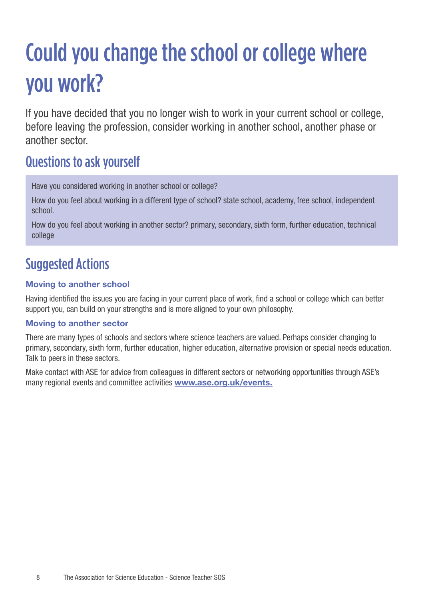## <span id="page-7-0"></span>Could you change the school or college where you work?

If you have decided that you no longer wish to work in your current school or college, before leaving the profession, consider working in another school, another phase or another sector.

### Questions to ask yourself

Have you considered working in another school or college?

How do you feel about working in a different type of school? state school, academy, free school, independent school.

How do you feel about working in another sector? primary, secondary, sixth form, further education, technical college

### Suggested Actions

#### **Moving to another school**

Having identified the issues you are facing in your current place of work, find a school or college which can better support you, can build on your strengths and is more aligned to your own philosophy.

#### **Moving to another sector**

There are many types of schools and sectors where science teachers are valued. Perhaps consider changing to primary, secondary, sixth form, further education, higher education, alternative provision or special needs education. Talk to peers in these sectors.

Make contact with ASE for advice from colleagues in different sectors or networking opportunities through ASE's many regional events and committee activities **www.ase.org.uk/events.**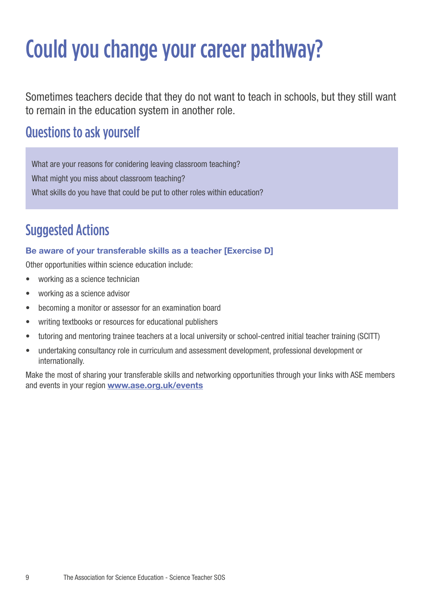## <span id="page-8-0"></span>Could you change your career pathway?

Sometimes teachers decide that they do not want to teach in schools, but they still want to remain in the education system in another role.

### Questions to ask yourself

What are your reasons for conidering leaving classroom teaching? What might you miss about classroom teaching? What skills do you have that could be put to other roles within education?

## Suggested Actions

#### **Be aware of your transferable skills as a teacher [Exercise D]**

Other opportunities within science education include:

- working as a science technician
- working as a science advisor
- becoming a monitor or assessor for an examination board
- writing textbooks or resources for educational publishers
- tutoring and mentoring trainee teachers at a local university or school-centred initial teacher training (SCITT)
- undertaking consultancy role in curriculum and assessment development, professional development or internationally.

Make the most of sharing your transferable skills and networking opportunities through your links with ASE members and events in your region **www.ase.org.uk/events**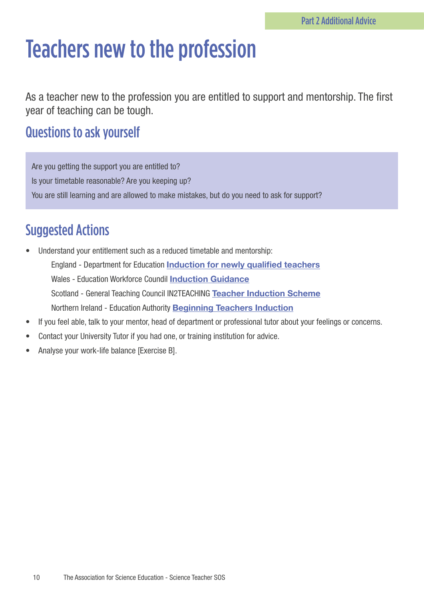## <span id="page-9-0"></span>Teachers new to the profession

As a teacher new to the profession you are entitled to support and mentorship. The first year of teaching can be tough.

### Questions to ask yourself

Are you getting the support you are entitled to? Is your timetable reasonable? Are you keeping up? You are still learning and are allowed to make mistakes, but do you need to ask for support?

- Understand your entitlement such as a reduced timetable and mentorship: England - Department for Education **[Induction for newly qualified teachers](http://www.gov.uk/government/publications/induction-for-newly-qualified-teachers-nqts)** Wales - Education Workforce Coundil **[Induction Guidance](https://www.ewc.wales/site/index.php/en/documents/induction/278-wg-induction-guidance-circular)** Scotland - General Teaching Council IN2TEACHING **[Teacher Induction Scheme](http://www.in2teaching.org.uk/teacher-induction-scheme/teacher-induction-scheme.aspx)** Northern Ireland - Education Authority **[Beginning Teachers Induction](http://www.eani.org.uk/schools/beginning-teachers/beginning-teachers-induction-and-early-professional-development/)**
- If you feel able, talk to your mentor, head of department or professional tutor about your feelings or concerns.
- Contact your University Tutor if you had one, or training institution for advice.
- Analyse your work-life balance [Exercise B].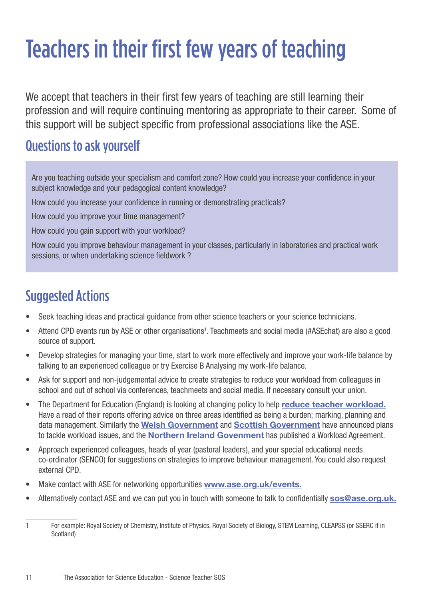## <span id="page-10-0"></span>Teachers in their first few years of teaching

We accept that teachers in their first few years of teaching are still learning their profession and will require continuing mentoring as appropriate to their career. Some of this support will be subject specific from professional associations like the ASE.

### Questions to ask yourself

Are you teaching outside your specialism and comfort zone? How could you increase your confidence in your subject knowledge and your pedagogical content knowledge?

How could you increase your confidence in running or demonstrating practicals?

How could you improve your time management?

How could you gain support with your workload?

How could you improve behaviour management in your classes, particularly in laboratories and practical work sessions, or when undertaking science fieldwork ?

- Seek teaching ideas and practical guidance from other science teachers or your science technicians.
- Attend CPD events run by ASE or other organisations<sup>1</sup>. Teachmeets and social media (#ASEchat) are also a good source of support.
- Develop strategies for managing your time, start to work more effectively and improve your work-life balance by talking to an experienced colleague or try Exercise B Analysing my work-life balance.
- Ask for support and non-judgemental advice to create strategies to reduce your workload from colleagues in school and out of school via conferences, teachmeets and social media. If necessary consult your union.
- The Department for Education (England) is looking at changing policy to help **[reduce teacher workload.](https://www.gov.uk/government/publications/reducing-teachers-workload/reducing-teachers-workload)** Have a read of their reports offering advice on three areas identified as being a burden; marking, planning and data management. Similarly the **[Welsh Government](https://www.estyn.gov.wales/effective-practice/reducing-workload-teachers-and-headteachers)** and **[Scottish Government](https://education.gov.scot/scottish-education-system/policy-for-scottish-education/policy-drivers/cfe-(building-from-the-statement-appendix-incl-btc1-5)/Tackling%20bureaucracy%20and%20addressing%20undue%20workload%20in%20schools)** have announced plans to tackle workload issues, and the **[Northern Ireland Govenment](https://www.education-ni.gov.uk/publications/workload-agreement)** has published a Workload Agreement.
- Approach experienced colleagues, heads of year (pastoral leaders), and your special educational needs co-ordinator (SENCO) for suggestions on strategies to improve behaviour management. You could also request external CPD.
- Make contact with ASE for networking opportunities **www.ase.org.uk/events.**
- Alternatively contact ASE and we can put you in touch with someone to talk to confidentially **sos@ase.org.uk.**

<sup>1</sup> For example: Royal Society of Chemistry, Institute of Physics, Royal Society of Biology, STEM Learning, CLEAPSS (or SSERC if in Scotland)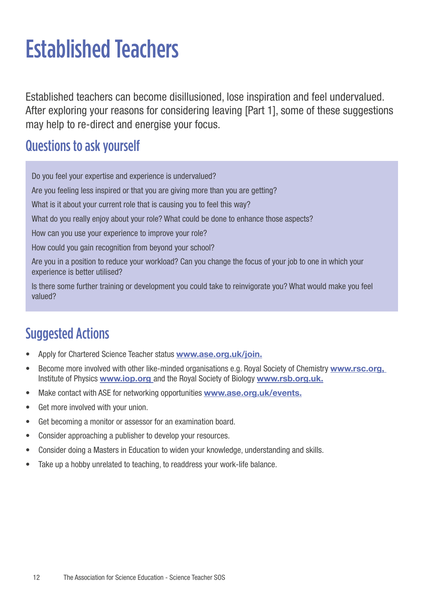## <span id="page-11-0"></span>Established Teachers

Established teachers can become disillusioned, lose inspiration and feel undervalued. After exploring your reasons for considering leaving [Part 1], some of these suggestions may help to re-direct and energise your focus.

### Questions to ask yourself

Do you feel your expertise and experience is undervalued?

Are you feeling less inspired or that you are giving more than you are getting?

What is it about your current role that is causing you to feel this way?

What do you really enjoy about your role? What could be done to enhance those aspects?

How can you use your experience to improve your role?

How could you gain recognition from beyond your school?

Are you in a position to reduce your workload? Can you change the focus of your job to one in which your experience is better utilised?

Is there some further training or development you could take to reinvigorate you? What would make you feel valued?

- Apply for Chartered Science Teacher status **www.ase.org.uk/join.**
- Become more involved with other like-minded organisations e.g. Royal Society of Chemistry **www.rsc.org,**  Institute of Physics **www.iop.org** and the Royal Society of Biology **www.rsb.org.uk.**
- Make contact with ASE for networking opportunities **www.ase.org.uk/events.**
- Get more involved with your union.
- Get becoming a monitor or assessor for an examination board.
- Consider approaching a publisher to develop your resources.
- Consider doing a Masters in Education to widen your knowledge, understanding and skills.
- Take up a hobby unrelated to teaching, to readdress your work-life balance.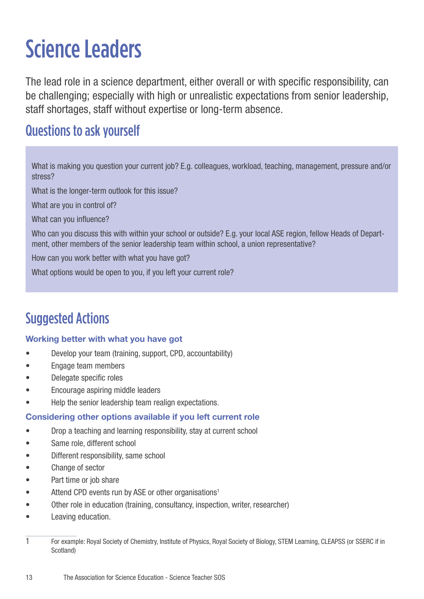## <span id="page-12-0"></span>Science Leaders

The lead role in a science department, either overall or with specific responsibility, can be challenging; especially with high or unrealistic expectations from senior leadership, staff shortages, staff without expertise or long-term absence.

### Questions to ask yourself

What is making you question your current job? E.g. colleagues, workload, teaching, management, pressure and/or stress?

What is the longer-term outlook for this issue?

What are you in control of?

What can you influence?

Who can you discuss this with within your school or outside? E.g. your local ASE region, fellow Heads of Department, other members of the senior leadership team within school, a union representative?

How can you work better with what you have got?

What options would be open to you, if you left your current role?

### Suggested Actions

#### **Working better with what you have got**

- Develop your team (training, support, CPD, accountability)
- Engage team members
- Delegate specific roles
- Encourage aspiring middle leaders
- Help the senior leadership team realign expectations.

#### **Considering other options available if you left current role**

- Drop a teaching and learning responsibility, stay at current school
- Same role, different school
- Different responsibility, same school
- Change of sector
- Part time or job share
- Attend CPD events run by ASE or other organisations<sup>1</sup>
- Other role in education (training, consultancy, inspection, writer, researcher)
- Leaving education.

<sup>1</sup> For example: Royal Society of Chemistry, Institute of Physics, Royal Society of Biology, STEM Learning, CLEAPSS (or SSERC if in Scotland)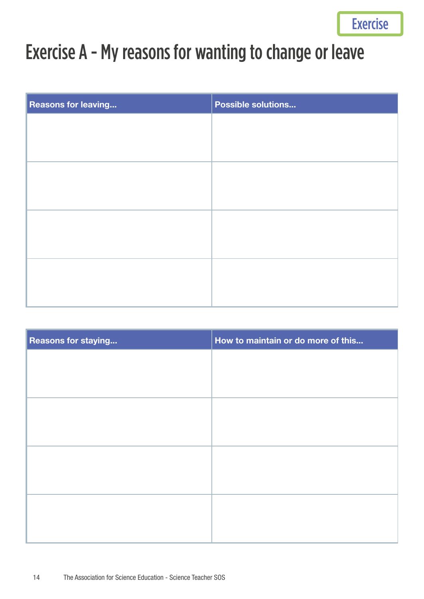## <span id="page-13-0"></span>Exercise A - My reasons for wanting to change or leave

| <b>Reasons for leaving</b> | <b>Possible solutions</b> |
|----------------------------|---------------------------|
|                            |                           |
|                            |                           |
|                            |                           |
|                            |                           |
|                            |                           |
|                            |                           |
|                            |                           |
|                            |                           |
|                            |                           |
|                            |                           |
|                            |                           |

| <b>Reasons for staying</b> | How to maintain or do more of this |
|----------------------------|------------------------------------|
|                            |                                    |
|                            |                                    |
|                            |                                    |
|                            |                                    |
|                            |                                    |
|                            |                                    |
|                            |                                    |
|                            |                                    |
|                            |                                    |
|                            |                                    |
|                            |                                    |
|                            |                                    |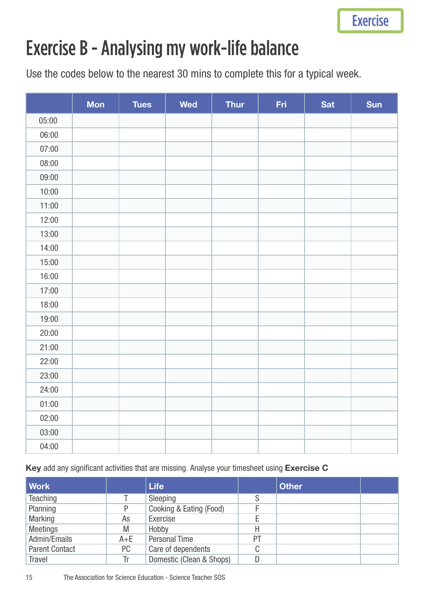## <span id="page-14-0"></span>Exercise B - Analysing my work-life balance

Use the codes below to the nearest 30 mins to complete this for a typical week.

|       | <b>Mon</b> | <b>Tues</b> | <b>Wed</b> | <b>Thur</b> | Fri | Sat | Sun |
|-------|------------|-------------|------------|-------------|-----|-----|-----|
| 05:00 |            |             |            |             |     |     |     |
| 06:00 |            |             |            |             |     |     |     |
| 07:00 |            |             |            |             |     |     |     |
| 08:00 |            |             |            |             |     |     |     |
| 09:00 |            |             |            |             |     |     |     |
| 10:00 |            |             |            |             |     |     |     |
| 11:00 |            |             |            |             |     |     |     |
| 12:00 |            |             |            |             |     |     |     |
| 13:00 |            |             |            |             |     |     |     |
| 14:00 |            |             |            |             |     |     |     |
| 15:00 |            |             |            |             |     |     |     |
| 16:00 |            |             |            |             |     |     |     |
| 17:00 |            |             |            |             |     |     |     |
| 18:00 |            |             |            |             |     |     |     |
| 19:00 |            |             |            |             |     |     |     |
| 20:00 |            |             |            |             |     |     |     |
| 21:00 |            |             |            |             |     |     |     |
| 22:00 |            |             |            |             |     |     |     |
| 23:00 |            |             |            |             |     |     |     |
| 24:00 |            |             |            |             |     |     |     |
| 01:00 |            |             |            |             |     |     |     |
| 02:00 |            |             |            |             |     |     |     |
| 03:00 |            |             |            |             |     |     |     |
| 04:00 |            |             |            |             |     |     |     |

#### **Key** add any significant activities that are missing. Analyse your timesheet using **Exercise C**

| <b>Work</b>           |         | <b>Life</b>              |    | <b>Other</b> |  |
|-----------------------|---------|--------------------------|----|--------------|--|
| Teaching              |         | Sleeping                 |    |              |  |
| Planning              | P       | Cooking & Eating (Food)  |    |              |  |
| <b>Marking</b>        | As      | Exercise                 |    |              |  |
| <b>Meetings</b>       | M       | Hobby                    | H  |              |  |
| Admin/Emails          | $A + E$ | <b>Personal Time</b>     | PT |              |  |
| <b>Parent Contact</b> | PC.     | Care of dependents       | C  |              |  |
| <b>Travel</b>         | Tr      | Domestic (Clean & Shops) | D  |              |  |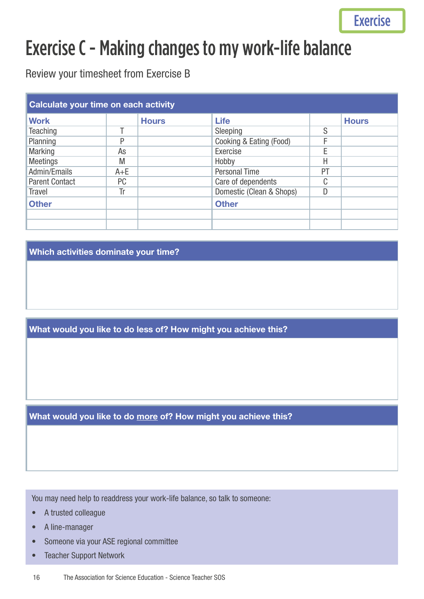## <span id="page-15-0"></span>Exercise C - Making changes to my work-life balance

Review your timesheet from Exercise B

| Calculate your time on each activity |         |              |                          |    |              |
|--------------------------------------|---------|--------------|--------------------------|----|--------------|
| <b>Work</b>                          |         | <b>Hours</b> | <b>Life</b>              |    | <b>Hours</b> |
| <b>Teaching</b>                      |         |              | Sleeping                 | S  |              |
| Planning                             | D       |              | Cooking & Eating (Food)  |    |              |
| <b>Marking</b>                       | As      |              | Exercise                 | F  |              |
| <b>Meetings</b>                      | M       |              | Hobby                    | Н  |              |
| Admin/Emails                         | $A + E$ |              | <b>Personal Time</b>     | PT |              |
| <b>Parent Contact</b>                | PC      |              | Care of dependents       | C  |              |
| <b>Travel</b>                        | Tr      |              | Domestic (Clean & Shops) | D  |              |
| <b>Other</b>                         |         |              | <b>Other</b>             |    |              |
|                                      |         |              |                          |    |              |
|                                      |         |              |                          |    |              |

**Which activities dominate your time?**

**What would you like to do less of? How might you achieve this?**

**What would you like to do more of? How might you achieve this?**

You may need help to readdress your work-life balance, so talk to someone:

- A trusted colleague
- A line-manager
- Someone via your ASE regional committee
- Teacher Support Network